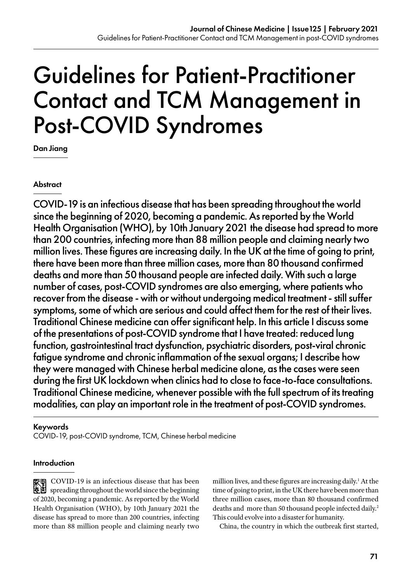# Guidelines for Patient-Practitioner Contact and TCM Management in Post-COVID Syndromes

Dan Jiang

#### **Abstract**

COVID-19 is an infectious disease that has been spreading throughout the world since the beginning of 2020, becoming a pandemic. As reported by the World Health Organisation (WHO), by 10th January 2021 the disease had spread to more than 200 countries, infecting more than 88 million people and claiming nearly two million lives. These figures are increasing daily. In the UK at the time of going to print, there have been more than three million cases, more than 80 thousand confirmed deaths and more than 50 thousand people are infected daily. With such a large number of cases, post-COVID syndromes are also emerging, where patients who recover from the disease - with or without undergoing medical treatment - still suffer symptoms, some of which are serious and could affect them for the rest of their lives. Traditional Chinese medicine can offer significant help. In this article I discuss some of the presentations of post-COVID syndrome that I have treated: reduced lung function, gastrointestinal tract dysfunction, psychiatric disorders, post-viral chronic fatigue syndrome and chronic inflammation of the sexual organs; I describe how they were managed with Chinese herbal medicine alone, as the cases were seen during the first UK lockdown when clinics had to close to face-to-face consultations. Traditional Chinese medicine, whenever possible with the full spectrum of its treating modalities, can play an important role in the treatment of post-COVID syndromes.

#### Keywords

COVID-19, post-COVID syndrome, TCM, Chinese herbal medicine

#### **Introduction**

**索** COVID-19 is an infectious disease that has been spreading throughout the world since the beginning of 2020, becoming a pandemic. As reported by the World Health Organisation (WHO), by 10th January 2021 the disease has spread to more than 200 countries, infecting more than 88 million people and claiming nearly two million lives, and these figures are increasing daily.<sup>1</sup> At the time of going to print, in the UK there have been more than three million cases, more than 80 thousand confirmed deaths and more than 50 thousand people infected daily.<sup>2</sup> This could evolve into a disaster for humanity.

China, the country in which the outbreak first started,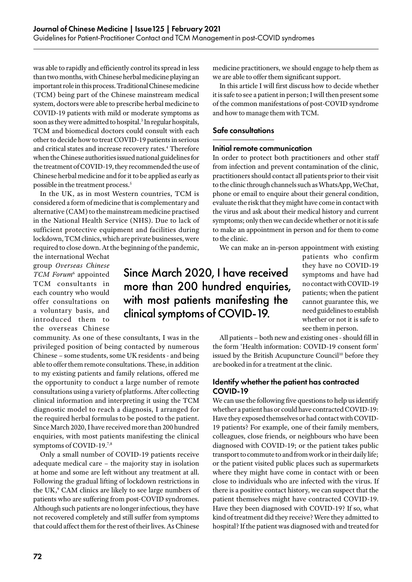was able to rapidly and efficiently control its spread in less than two months, with Chinese herbal medicine playing an important role in this process. Traditional Chinese medicine (TCM) being part of the Chinese mainstream medical system, doctors were able to prescribe herbal medicine to COVID-19 patients with mild or moderate symptoms as soon as they were admitted to hospital.<sup>3</sup> In regular hospitals, TCM and biomedical doctors could consult with each other to decide how to treat COVID-19 patients in serious and critical states and increase recovery rates.<sup>4</sup> Therefore when the Chinese authorities issued national guidelines for the treatment of COVID-19, they recommended the use of Chinese herbal medicine and for it to be applied as early as possible in the treatment process.<sup>5</sup>

In the UK, as in most Western countries, TCM is considered a form of medicine that is complementary and alternative (CAM) to the mainstream medicine practised in the National Health Service (NHS). Due to lack of sufficient protective equipment and facilities during lockdown, TCM clinics, which are private businesses, were required to close down. At the beginning of the pandemic,

the international Wechat group *Overseas Chinese TCM Forum*<sup>6</sup> appointed TCM consultants in each country who would offer consultations on a voluntary basis, and introduced them to the overseas Chinese

community. As one of these consultants, I was in the privileged position of being contacted by numerous Chinese – some students, some UK residents - and being able to offer them remote consultations. These, in addition to my existing patients and family relations, offered me the opportunity to conduct a large number of remote consultations using a variety of platforms. After collecting

clinical information and interpreting it using the TCM diagnostic model to reach a diagnosis, I arranged for the required herbal formulas to be posted to the patient. Since March 2020, I have received more than 200 hundred enquiries, with most patients manifesting the clinical symptoms of COVID-19.7,8

Only a small number of COVID-19 patients receive adequate medical care – the majority stay in isolation at home and some are left without any treatment at all. Following the gradual lifting of lockdown restrictions in the UK,<sup>9</sup> CAM clinics are likely to see large numbers of patients who are suffering from post-COVID syndromes. Although such patients are no longer infectious, they have not recovered completely and still suffer from symptoms that could affect them for the rest of their lives. As Chinese

medicine practitioners, we should engage to help them as we are able to offer them significant support.

In this article I will first discuss how to decide whether it is safe to see a patient in person; I will then present some of the common manifestations of post-COVID syndrome and how to manage them with TCM.

#### Safe consultations

#### Initial remote communication

In order to protect both practitioners and other staff from infection and prevent contamination of the clinic, practitioners should contact all patients prior to their visit to the clinic through channels such as WhatsApp, WeChat, phone or email to enquire about their general condition, evaluate the risk that they might have come in contact with the virus and ask about their medical history and current symptoms; only then we can decide whether or not it is safe to make an appointment in person and for them to come to the clinic.

We can make an in-person appointment with existing

# Since March 2020, I have received more than 200 hundred enquiries, with most patients manifesting the clinical symptoms of COVID-19.

patients who confirm they have no COVID-19 symptoms and have had no contact with COVID-19 patients; when the patient cannot guarantee this, we need guidelines to establish whether or not it is safe to see them in person.

All patients – both new and existing ones - should fill in the form 'Health information: COVID-19 consent form' issued by the British Acupuncture Council<sup>10</sup> before they are booked in for a treatment at the clinic.

#### Identify whether the patient has contracted COVID-19

We can use the following five questions to help us identify whether a patient has or could have contracted COVID-19: Have they exposed themselves or had contact with COVID-19 patients? For example, one of their family members, colleagues, close friends, or neighbours who have been diagnosed with COVID-19; or the patient takes public transport to commute to and from work or in their daily life; or the patient visited public places such as supermarkets where they might have come in contact with or been close to individuals who are infected with the virus. If there is a positive contact history, we can suspect that the patient themselves might have contracted COVID-19. Have they been diagnosed with COVID-19? If so, what kind of treatment did they receive? Were they admitted to hospital? If the patient was diagnosed with and treated for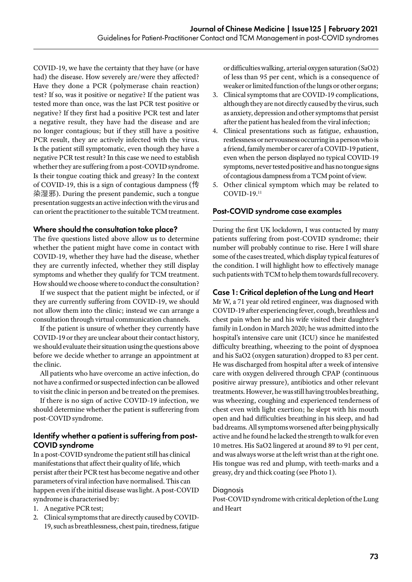COVID-19, we have the certainty that they have (or have had) the disease. How severely are/were they affected? Have they done a PCR (polymerase chain reaction) test? If so, was it positive or negative? If the patient was tested more than once, was the last PCR test positive or negative? If they first had a positive PCR test and later a negative result, they have had the disease and are no longer contagious; but if they still have a positive PCR result, they are actively infected with the virus. Is the patient still symptomatic, even though they have a negative PCR test result? In this case we need to establish whether they are suffering from a post-COVID syndrome. Is their tongue coating thick and greasy? In the context of COVID-19, this is a sign of contagious dampness (传 染湿邪). During the present pandemic, such a tongue presentation suggests an active infection with the virus and can orient the practitioner to the suitable TCM treatment.

#### Where should the consultation take place?

The five questions listed above allow us to determine whether the patient might have come in contact with COVID-19, whether they have had the disease, whether they are currently infected, whether they still display symptoms and whether they qualify for TCM treatment. How should we choose where to conduct the consultation?

If we suspect that the patient might be infected, or if they are currently suffering from COVID-19, we should not allow them into the clinic; instead we can arrange a consultation through virtual communication channels.

If the patient is unsure of whether they currently have COVID-19 or they are unclear about their contact history, we should evaluate their situation using the questions above before we decide whether to arrange an appointment at the clinic.

All patients who have overcome an active infection, do not have a confirmed or suspected infection can be allowed to visit the clinic in person and be treated on the premises.

If there is no sign of active COVID-19 infection, we should determine whether the patient is sufferering from post-COVID syndrome.

#### Identify whether a patient is suffering from post-COVID syndrome

In a post-COVID syndrome the patient still has clinical manifestations that affect their quality of life, which persist after their PCR test has become negative and other parameters of viral infection have normalised. This can happen even if the initial disease was light. A post-COVID syndrome is characterised by:

- 1. A negative PCR test;
- 2. Clinical symptoms that are directly caused by COVID-19, such as breathlessness, chest pain, tiredness, fatigue

or difficulties walking, arterial oxygen saturation (SaO2) of less than 95 per cent, which is a consequence of weaker or limited function of the lungs or other organs;

- 3. Clinical symptoms that are COVID-19 complications, although they are not directly caused by the virus, such as anxiety, depression and other symptoms that persist after the patient has healed from the viral infection;
- 4. Clinical presentations such as fatigue, exhaustion, restlessness or nervousness occurring in a person who is a friend, family member or carer of a COVID-19 patient, even when the person displayed no typical COVID-19 symptoms, never tested positive and has no tongue signs of contagious dampness from a TCM point of view.
- 5. Other clinical symptom which may be related to COVID-19.11

#### Post-COVID syndrome case examples

During the first UK lockdown, I was contacted by many patients suffering from post-COVID syndrome; their number will probably continue to rise. Here I will share some of the cases treated, which display typical features of the condition. I will highlight how to effectively manage such patients with TCM to help them towards full recovery.

#### Case 1: Critical depletion of the Lung and Heart

Mr W, a 71 year old retired engineer, was diagnosed with COVID-19 after experiencing fever, cough, breathless and chest pain when he and his wife visited their daughter's family in London in March 2020; he was admitted into the hospital's intensive care unit (ICU) since he manifested difficulty breathing, wheezing to the point of dyspnoea and his SaO2 (oxygen saturation) dropped to 83 per cent. He was discharged from hospital after a week of intensive care with oxygen delivered through CPAP (continuous positive airway pressure), antibiotics and other relevant treatments. However, he was still having troubles breathing, was wheezing, coughing and experienced tenderness of chest even with light exertion; he slept with his mouth open and had difficulties breathing in his sleep, and had bad dreams. All symptoms worsened after being physically active and he found he lacked the strength to walk for even 10 metres. His SaO2 lingered at around 89 to 91 per cent, and was always worse at the left wrist than at the right one. His tongue was red and plump, with teeth-marks and a greasy, dry and thick coating (see Photo 1).

#### **Diagnosis**

Post-COVID syndrome with critical depletion of the Lung and Heart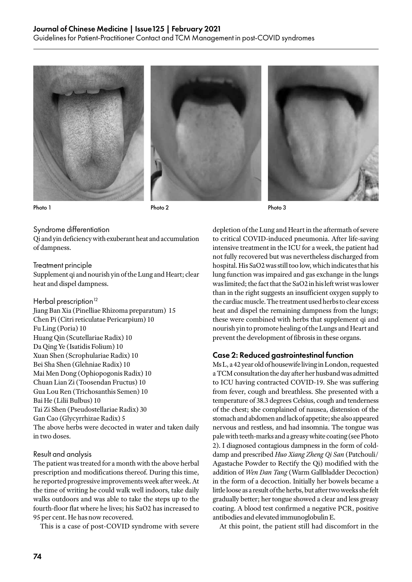





Photo 1 Photo 2 Photo 2 Photo 2 Photo 3 Photo 3

#### Syndrome differentiation

Qi and yin deficiency with exuberant heat and accumulation of dampness.

#### Treatment principle

Supplement qi and nourish yin of the Lung and Heart; clear heat and dispel dampness.

#### Herbal prescription<sup>12</sup>

Jiang Ban Xia (Pinelliae Rhizoma preparatum) 15 Chen Pi (Citri reticulatae Pericarpium) 10 Fu Ling (Poria) 10 Huang Qin (Scutellariae Radix) 10 Da Qing Ye (Isatidis Folium) 10 Xuan Shen (Scrophulariae Radix) 10 Bei Sha Shen (Glehniae Radix) 10 Mai Men Dong (Ophiopogonis Radix) 10 Chuan Lian Zi (Toosendan Fructus) 10 Gua Lou Ren (Trichosanthis Semen) 10 Bai He (Lilii Bulbus) 10 Tai Zi Shen (Pseudostellariae Radix) 30 Gan Cao (Glycyrrhizae Radix) 5 The above herbs were decocted in water and taken daily in two doses.

#### Result and analysis

The patient was treated for a month with the above herbal prescription and modifications thereof. During this time, he reported progressive improvements week after week. At the time of writing he could walk well indoors, take daily walks outdoors and was able to take the steps up to the fourth-floor flat where he lives; his SaO2 has increased to 95 per cent. He has now recovered.

This is a case of post-COVID syndrome with severe

depletion of the Lung and Heart in the aftermath of severe to critical COVID-induced pneumonia. After life-saving intensive treatment in the ICU for a week, the patient had not fully recovered but was nevertheless discharged from hospital. His SaO2 was still too low, which indicates that his lung function was impaired and gas exchange in the lungs was limited; the fact that the SaO2 in his left wrist was lower than in the right suggests an insufficient oxygen supply to the cardiac muscle. The treatment used herbs to clear excess heat and dispel the remaining dampness from the lungs; these were combined with herbs that supplement qi and nourish yin to promote healing of the Lungs and Heart and prevent the development of fibrosis in these organs.

#### Case 2: Reduced gastrointestinal function

Ms L, a 42 year old of housewife living in London, requested a TCM consultation the day after her husband was admitted to ICU having contracted COVID-19. She was suffering from fever, cough and breathless. She presented with a temperature of 38.3 degrees Celsius, cough and tenderness of the chest; she complained of nausea, distension of the stomach and abdomen and lack of appetite; she also appeared nervous and restless, and had insomnia. The tongue was pale with teeth-marks and a greasy white coating (see Photo 2). I diagnosed contagious dampness in the form of colddamp and prescribed *Huo Xiang Zheng Qi San* (Patchouli/ Agastache Powder to Rectify the Qi) modified with the addition of *Wen Dan Tang* (Warm Gallbladder Decoction) in the form of a decoction. Initially her bowels became a little loose as a result of the herbs, but after two weeks she felt gradually better; her tongue showed a clear and less greasy coating. A blood test confirmed a negative PCR, positive antibodies and elevated immunoglobulin E.

At this point, the patient still had discomfort in the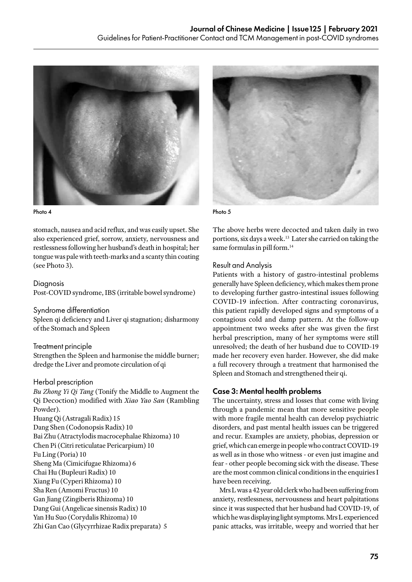

Photo 4 Photo 5

stomach, nausea and acid reflux, and was easily upset. She also experienced grief, sorrow, anxiety, nervousness and restlessness following her husband's death in hospital; her tongue was pale with teeth-marks and a scanty thin coating (see Photo 3).

#### Diagnosis

Post-COVID syndrome, IBS (irritable bowel syndrome)

#### Syndrome differentiation

Spleen qi deficiency and Liver qi stagnation; disharmony of the Stomach and Spleen

#### Treatment principle

Strengthen the Spleen and harmonise the middle burner; dredge the Liver and promote circulation of qi

#### Herbal prescription

*Bu Zhong Yi Qi Tang* (Tonify the Middle to Augment the Qi Decoction) modified with *Xiao Yao San* (Rambling Powder). Huang Qi (Astragali Radix) 15 Dang Shen (Codonopsis Radix) 10 Bai Zhu (Atractylodis macrocephalae Rhizoma) 10 Chen Pi (Citri reticulatae Pericarpium) 10 Fu Ling (Poria) 10 Sheng Ma (Cimicifugae Rhizoma) 6 Chai Hu (Bupleuri Radix) 10 Xiang Fu (Cyperi Rhizoma) 10 Sha Ren (Amomi Fructus) 10 Gan Jiang (Zingiberis Rhizoma) 10 Dang Gui (Angelicae sinensis Radix) 10 Yan Hu Suo (Corydalis Rhizoma) 10 Zhi Gan Cao (Glycyrrhizae Radix preparata) 5



The above herbs were decocted and taken daily in two portions, six days a week.13 Later she carried on taking the same formulas in pill form.<sup>14</sup>

#### Result and Analysis

Patients with a history of gastro-intestinal problems generally have Spleen deficiency, which makes them prone to developing further gastro-intestinal issues following COVID-19 infection. After contracting coronavirus, this patient rapidly developed signs and symptoms of a contagious cold and damp pattern. At the follow-up appointment two weeks after she was given the first herbal prescription, many of her symptoms were still unresolved; the death of her husband due to COVID-19 made her recovery even harder. However, she did make a full recovery through a treatment that harmonised the Spleen and Stomach and strengthened their qi.

#### Case 3: Mental health problems

The uncertainty, stress and losses that come with living through a pandemic mean that more sensitive people with more fragile mental health can develop psychiatric disorders, and past mental health issues can be triggered and recur. Examples are anxiety, phobias, depression or grief, which can emerge in people who contract COVID-19 as well as in those who witness - or even just imagine and fear - other people becoming sick with the disease. These are the most common clinical conditions in the enquiries I have been receiving.

Mrs L was a 42 year old clerk who had been suffering from anxiety, restlessness, nervousness and heart palpitations since it was suspected that her husband had COVID-19, of which he was displaying light symptoms. Mrs L experienced panic attacks, was irritable, weepy and worried that her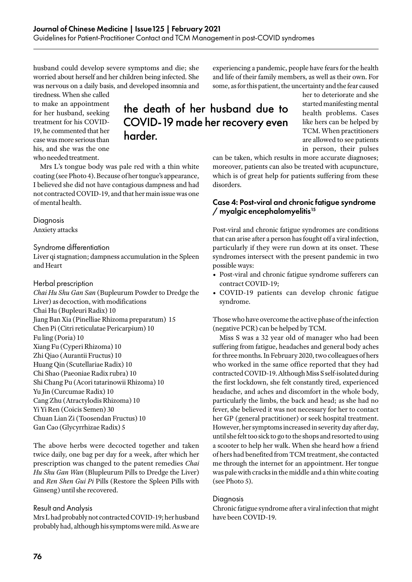husband could develop severe symptoms and die; she worried about herself and her children being infected. She was nervous on a daily basis, and developed insomnia and

tiredness. When she called to make an appointment for her husband, seeking treatment for his COVID-19, he commented that her case was more serious than his, and she was the one who needed treatment.

## the death of her husband due to COVID-19 made her recovery even harder.

Mrs L's tongue body was pale red with a thin white coating (see Photo 4). Because of her tongue's appearance, I believed she did not have contagious dampness and had not contracted COVID-19, and that her main issue was one of mental health.

### Diagnosis

Anxiety attacks

#### Syndrome differentiation

Liver qi stagnation; dampness accumulation in the Spleen and Heart

#### Herbal prescription

*Chai Hu Shu Gan San* (Bupleurum Powder to Dredge the Liver) as decoction, with modifications Chai Hu (Bupleuri Radix) 10 Jiang Ban Xia (Pinelliae Rhizoma preparatum) 15 Chen Pi (Citri reticulatae Pericarpium) 10 Fu ling (Poria) 10 Xiang Fu (Cyperi Rhizoma) 10 Zhi Qiao (Aurantii Fructus) 10 Huang Qin (Scutellariae Radix) 10 Chi Shao (Paeoniae Radix rubra) 10 Shi Chang Pu (Acori tatarinowii Rhizoma) 10 Yu Jin (Curcumae Radix) 10 Cang Zhu (Atractylodis Rhizoma) 10 Yi Yi Ren (Coicis Semen) 30 Chuan Lian Zi (Toosendan Fructus) 10 Gan Cao (Glycyrrhizae Radix) 5

The above herbs were decocted together and taken twice daily, one bag per day for a week, after which her prescription was changed to the patent remedies *Chai Hu Shu Gan Wan* (Blupleurum Pills to Dredge the Liver) and *Ren Shen Gui Pi* Pills (Restore the Spleen Pills with Ginseng) until she recovered.

#### Result and Analysis

Mrs L had probably not contracted COVID-19; her husband probably had, although his symptoms were mild. As we are

experiencing a pandemic, people have fears for the health and life of their family members, as well as their own. For some, as for this patient, the uncertainty and the fear caused

> her to deteriorate and she started manifesting mental health problems. Cases like hers can be helped by TCM. When practitioners are allowed to see patients in person, their pulses

can be taken, which results in more accurate diagnoses; moreover, patients can also be treated with acupuncture, which is of great help for patients suffering from these disorders.

#### Case 4: Post-viral and chronic fatigue syndrome / myalgic encephalomyelitis15

Post-viral and chronic fatigue syndromes are conditions that can arise after a person has fought off a viral infection, particularly if they were run down at its onset. These syndromes intersect with the present pandemic in two possible ways:

- Post-viral and chronic fatigue syndrome sufferers can contract COVID-19;
- COVID-19 patients can develop chronic fatigue syndrome.

Those who have overcome the active phase of the infection (negative PCR) can be helped by TCM.

Miss S was a 32 year old of manager who had been suffering from fatigue, headaches and general body aches for three months. In February 2020, two colleagues of hers who worked in the same office reported that they had contracted COVID-19. Although Miss S self-isolated during the first lockdown, she felt constantly tired, experienced headache, and aches and discomfort in the whole body, particularly the limbs, the back and head; as she had no fever, she believed it was not necessary for her to contact her GP (general practitioner) or seek hospital treatment. However, her symptoms increased in severity day after day, until she felt too sick to go to the shops and resorted to using a scooter to help her walk. When she heard how a friend of hers had benefited from TCM treatment, she contacted me through the internet for an appointment. Her tongue was pale with cracks in the middle and a thin white coating (see Photo 5).

#### **Diagnosis**

Chronic fatigue syndrome after a viral infection that might have been COVID-19.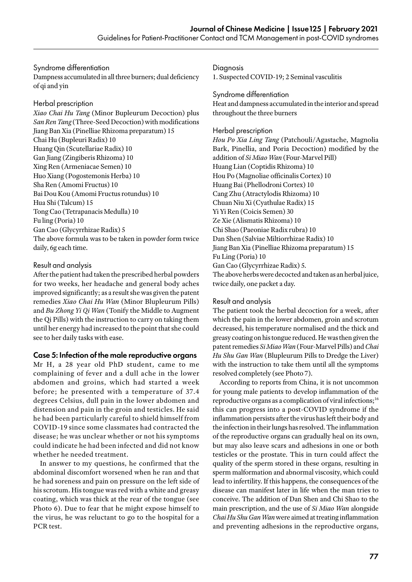#### Syndrome differentiation

Dampness accumulated in all three burners; dual deficiency of qi and yin

#### Herbal prescription

*Xiao Chai Hu Tang* (Minor Bupleurum Decoction) plus *San Ren Tang* (Three-Seed Decoction) with modifications Jiang Ban Xia (Pinelliae Rhizoma preparatum) 15 Chai Hu (Bupleuri Radix) 10 Huang Qin (Scutellariae Radix) 10 Gan Jiang (Zingiberis Rhizoma) 10 Xing Ren (Armeniacae Semen) 10 Huo Xiang (Pogostemonis Herba) 10 Sha Ren (Amomi Fructus) 10 Bai Dou Kou (Amomi Fructus rotundus) 10 Hua Shi (Talcum) 15 Tong Cao (Tetrapanacis Medulla) 10 Fu ling (Poria) 10 Gan Cao (Glycyrrhizae Radix) 5 The above formula was to be taken in powder form twice daily, 6g each time.

#### Result and analysis

After the patient had taken the prescribed herbal powders for two weeks, her headache and general body aches improved significantly; as a result she was given the patent remedies *Xiao Chai Hu Wan* (Minor Blupleurum Pills) and *Bu Zhong Yi Qi Wan* (Tonify the Middle to Augment the Qi Pills) with the instruction to carry on taking them until her energy had increased to the point that she could see to her daily tasks with ease.

#### Case 5: Infection of the male reproductive organs

Mr H, a 28 year old PhD student, came to me complaining of fever and a dull ache in the lower abdomen and groins, which had started a week before; he presented with a temperature of 37.4 degrees Celsius, dull pain in the lower abdomen and distension and pain in the groin and testicles. He said he had been particularly careful to shield himself from COVID-19 since some classmates had contracted the disease; he was unclear whether or not his symptoms could indicate he had been infected and did not know whether he needed treatment.

In answer to my questions, he confirmed that the abdominal discomfort worsened when he ran and that he had soreness and pain on pressure on the left side of his scrotum. His tongue was red with a white and greasy coating, which was thick at the rear of the tongue (see Photo 6). Due to fear that he might expose himself to the virus, he was reluctant to go to the hospital for a PCR test.

**Diagnosis** 

1. Suspected COVID-19; 2 Seminal vasculitis

#### Syndrome differentiation

Heat and dampness accumulated in the interior and spread throughout the three burners

#### Herbal prescription

*Hou Po Xia Ling Tang* (Patchouli/Agastache, Magnolia Bark, Pinellia, and Poria Decoction) modified by the addition of *Si Miao Wan* (Four-Marvel Pill) Huang Lian (Coptidis Rhizoma) 10 Hou Po (Magnoliae officinalis Cortex) 10 Huang Bai (Phellodroni Cortex) 10 Cang Zhu (Atractylodis Rhizoma) 10 Chuan Niu Xi (Cyathulae Radix) 15 Yi Yi Ren (Coicis Semen) 30 Ze Xie (Alismatis Rhizoma) 10 Chi Shao (Paeoniae Radix rubra) 10 Dan Shen (Salviae Miltiorrhizae Radix) 10 Jiang Ban Xia (Pinelliae Rhizoma preparatum) 15 Fu Ling (Poria) 10 Gan Cao (Glycyrrhizae Radix) 5. The above herbs were decocted and taken as an herbal juice, twice daily, one packet a day.

#### Result and analysis

The patient took the herbal decoction for a week, after which the pain in the lower abdomen, groin and scrotum decreased, his temperature normalised and the thick and greasy coating on his tongue reduced. He was then given the patent remedies *Si Miao Wan* (Four-Marvel Pills) and *Chai Hu Shu Gan Wan* (Blupleurum Pills to Dredge the Liver) with the instruction to take them until all the symptoms resolved completely (see Photo 7).

According to reports from China, it is not uncommon for young male patients to develop inflammation of the reproductive organs as a complication of viral infections;<sup>16</sup> this can progress into a post-COVID syndrome if the inflammation persists after the virus has left their body and the infection in their lungs has resolved. The inflammation of the reproductive organs can gradually heal on its own, but may also leave scars and adhesions in one or both testicles or the prostate. This in turn could affect the quality of the sperm stored in these organs, resulting in sperm malformation and abnormal viscosity, which could lead to infertility. If this happens, the consequences of the disease can manifest later in life when the man tries to conceive. The addition of Dan Shen and Chi Shao to the main prescription, and the use of *Si Miao Wan* alongside *Chai Hu Shu Gan Wan* were aimed at treating inflammation and preventing adhesions in the reproductive organs,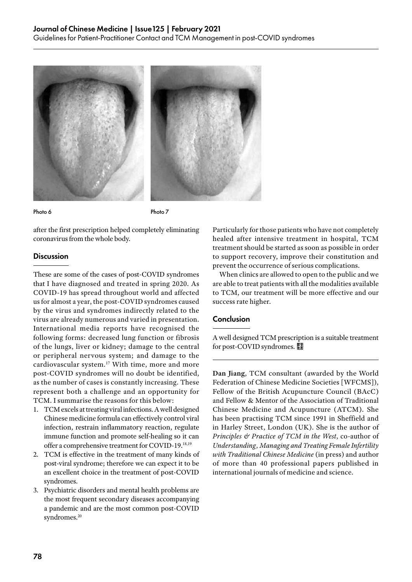



Photo 6 Photo 7

after the first prescription helped completely eliminating coronavirus from the whole body.

#### **Discussion**

These are some of the cases of post-COVID syndromes that I have diagnosed and treated in spring 2020. As COVID-19 has spread throughout world and affected us for almost a year, the post-COVID syndromes caused by the virus and syndromes indirectly related to the virus are already numerous and varied in presentation. International media reports have recognised the following forms: decreased lung function or fibrosis of the lungs, liver or kidney; damage to the central or peripheral nervous system; and damage to the cardiovascular system.<sup>17</sup> With time, more and more post-COVID syndromes will no doubt be identified, as the number of cases is constantly increasing. These represent both a challenge and an opportunity for TCM. I summarise the reasons for this below:

- 1. TCM excels at treating viral infections. A well designed Chinese medicine formula can effectively control viral infection, restrain inflammatory reaction, regulate immune function and promote self-healing so it can offer a comprehensive treatment for COVID-19.18,19
- 2. TCM is effective in the treatment of many kinds of post-viral syndrome; therefore we can expect it to be an excellent choice in the treatment of post-COVID syndromes.
- 3. Psychiatric disorders and mental health problems are the most frequent secondary diseases accompanying a pandemic and are the most common post-COVID syndromes.<sup>20</sup>

Particularly for those patients who have not completely healed after intensive treatment in hospital, TCM treatment should be started as soon as possible in order to support recovery, improve their constitution and prevent the occurrence of serious complications.

When clinics are allowed to open to the public and we are able to treat patients with all the modalities available to TCM, our treatment will be more effective and our success rate higher.

#### **Conclusion**

A well designed TCM prescription is a suitable treatment for post-COVID syndromes.

**Dan Jiang**, TCM consultant (awarded by the World Federation of Chinese Medicine Societies [WFCMS]), Fellow of the British Acupuncture Council (BAcC) and Fellow & Mentor of the Association of Traditional Chinese Medicine and Acupuncture (ATCM). She has been practising TCM since 1991 in Sheffield and in Harley Street, London (UK). She is the author of *Principles & Practice of TCM in the West*, co-author of *Understanding, Managing and Treating Female Infertility with Traditional Chinese Medicine* (in press) and author of more than 40 professional papers published in international journals of medicine and science.